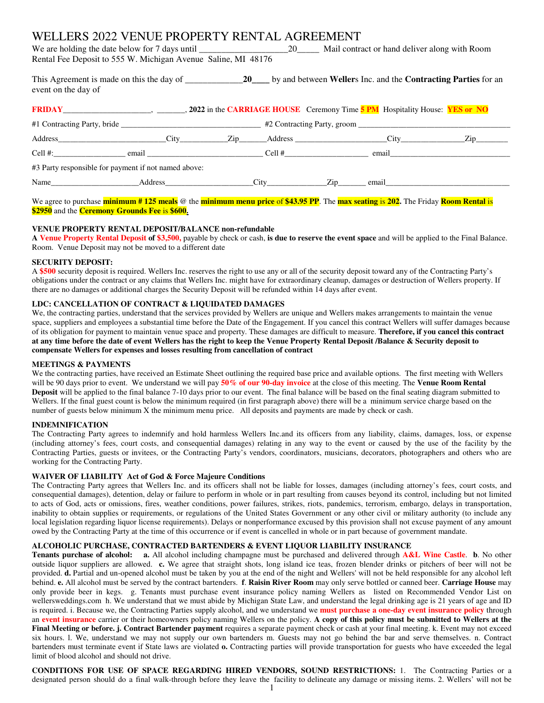# WELLERS 2022 VENUE PROPERTY RENTAL AGREEMENT

We are holding the date below for 7 days until \_\_\_\_\_\_\_\_\_\_\_\_\_\_\_\_\_\_\_\_\_\_\_\_\_\_\_\_\_\_\_\_ Mail contract or hand deliver along with Room Rental Fee Deposit to 555 W. Michigan Avenue Saline, MI 48176

This Agreement is made on this the day of \_\_\_\_\_\_\_\_\_\_\_\_\_**20\_\_\_\_** by and between **Weller**s Inc. and the **Contracting Parties** for an event on the day of

| <b>FRIDAY</b> CHERALLY <b>EXAMPLE 2022</b> in the CARRIAGE HOUSE Ceremony Time 5 PM Hospitality House: <b>YES or NO</b> |         |  |      |                                            |                                                                                                                                                                                                                               |                                  |  |  |  |
|-------------------------------------------------------------------------------------------------------------------------|---------|--|------|--------------------------------------------|-------------------------------------------------------------------------------------------------------------------------------------------------------------------------------------------------------------------------------|----------------------------------|--|--|--|
|                                                                                                                         |         |  |      |                                            |                                                                                                                                                                                                                               |                                  |  |  |  |
| Address                                                                                                                 | City    |  |      | <u>Zip Address _______________________</u> |                                                                                                                                                                                                                               | $\mathop{\mathrm{Zip}}\nolimits$ |  |  |  |
| Cell #: $\qquad \qquad$                                                                                                 |         |  |      | $Cell \#$                                  |                                                                                                                                                                                                                               |                                  |  |  |  |
| #3 Party responsible for payment if not named above:                                                                    |         |  |      |                                            |                                                                                                                                                                                                                               |                                  |  |  |  |
| Name                                                                                                                    | Address |  | City | Zip                                        | email and the contract of the contract of the contract of the contract of the contract of the contract of the contract of the contract of the contract of the contract of the contract of the contract of the contract of the |                                  |  |  |  |

#### We agree to purchase **minimum # 125 meals** @ the **minimum menu price** of **\$43.95 PP**. The **max seating** is **202.** The Friday **Room Rental** is **\$2950** and the **Ceremony Grounds Fee** is **\$600.**

# **VENUE PROPERTY RENTAL DEPOSIT/BALANCE non-refundable**

**A Venue Property Rental Deposit of \$3,500,** payable by check or cash, **is due to reserve the event space** and will be applied to the Final Balance. Room. Venue Deposit may not be moved to a different date

#### **SECURITY DEPOSIT:**

A **\$500** security deposit is required. Wellers Inc. reserves the right to use any or all of the security deposit toward any of the Contracting Party's obligations under the contract or any claims that Wellers Inc. might have for extraordinary cleanup, damages or destruction of Wellers property. If there are no damages or additional charges the Security Deposit will be refunded within 14 days after event.

# **LDC: CANCELLATION OF CONTRACT & LIQUIDATED DAMAGES**

We, the contracting parties, understand that the services provided by Wellers are unique and Wellers makes arrangements to maintain the venue space, suppliers and employees a substantial time before the Date of the Engagement. If you cancel this contract Wellers will suffer damages because of its obligation for payment to maintain venue space and property. These damages are difficult to measure. **Therefore, if you cancel this contract at any time before the date of event Wellers has the right to keep the Venue Property Rental Deposit /Balance & Security deposit to compensate Wellers for expenses and losses resulting from cancellation of contract**

#### **MEETINGS & PAYMENTS**

We the contracting parties, have received an Estimate Sheet outlining the required base price and available options. The first meeting with Wellers will be 90 days prior to event. We understand we will pay **50% of our 90-day invoice** at the close of this meeting. The **Venue Room Rental Deposit** will be applied to the final balance 7-10 days prior to our event. The final balance will be based on the final seating diagram submitted to Wellers. If the final guest count is below the minimum required (in first paragraph above) there will be a minimum service charge based on the number of guests below minimum X the minimum menu price. All deposits and payments are made by check or cash.

# **INDEMNIFICATION**

The Contracting Party agrees to indemnify and hold harmless Wellers Inc.and its officers from any liability, claims, damages, loss, or expense (including attorney's fees, court costs, and consequential damages) relating in any way to the event or caused by the use of the facility by the Contracting Parties, guests or invitees, or the Contracting Party's vendors, coordinators, musicians, decorators, photographers and others who are working for the Contracting Party.

# **WAIVER OF LIABILITY Act of God & Force Majeure Conditions**

The Contracting Party agrees that Wellers Inc. and its officers shall not be liable for losses, damages (including attorney's fees, court costs, and consequential damages), detention, delay or failure to perform in whole or in part resulting from causes beyond its control, including but not limited to acts of God, acts or omissions, fires, weather conditions, power failures, strikes, riots, pandemics, terrorism, embargo, delays in transportation, inability to obtain supplies or requirements, or regulations of the United States Government or any other civil or military authority (to include any local legislation regarding liquor license requirements). Delays or nonperformance excused by this provision shall not excuse payment of any amount owed by the Contracting Party at the time of this occurrence or if event is cancelled in whole or in part because of government mandate.

# **ALCOHOLIC PURCHASE, CONTRACTED BARTENDERS & EVENT LIQUOR LIABILITY INSURANCE**

**Tenants purchase of alcohol: a.** All alcohol including champagne must be purchased and delivered through **A&L Wine Castle**. **b**. No other outside liquor suppliers are allowed. **c.** We agree that straight shots, long island ice teas, frozen blender drinks or pitchers of beer will not be provided. **d.** Partial and un-opened alcohol must be taken by you at the end of the night and Wellers' will not be held responsible for any alcohol left behind. **e.** All alcohol must be served by the contract bartenders. **f**. **Raisin River Room** may only serve bottled or canned beer. **Carriage House** may only provide beer in kegs. g. Tenants must purchase event insurance policy naming Wellers as listed on Recommended Vendor List on wellersweddings.com h. We understand that we must abide by Michigan State Law, and understand the legal drinking age is 21 years of age and ID is required. i. Because we, the Contracting Parties supply alcohol, and we understand we **must purchase a one-day event insurance policy** through an **event insurance** carrier or their homeowners policy naming Wellers on the policy. **A copy of this policy must be submitted to Wellers at the** Final Meeting or before. j. Contract Bartender payment requires a separate payment check or cash at your final meeting. k. Event may not exceed six hours. l. We, understand we may not supply our own bartenders m. Guests may not go behind the bar and serve themselves. n. Contract bartenders must terminate event if State laws are violated **o.** Contracting parties will provide transportation for guests who have exceeded the legal limit of blood alcohol and should not drive.

**CONDITIONS FOR USE OF SPACE REGARDING HIRED VENDORS, SOUND RESTRICTIONS:** 1. The Contracting Parties or a designated person should do a final walk-through before they leave the facility to delineate any damage or missing items. 2. Wellers' will not be